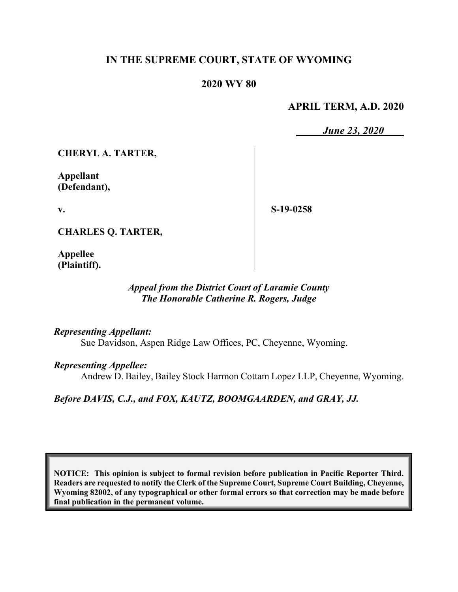# **IN THE SUPREME COURT, STATE OF WYOMING**

# **2020 WY 80**

# **APRIL TERM, A.D. 2020**

*June 23, 2020*

**CHERYL A. TARTER,**

**Appellant (Defendant),**

**v.**

**S-19-0258**

**CHARLES Q. TARTER,**

**Appellee (Plaintiff).**

# *Appeal from the District Court of Laramie County The Honorable Catherine R. Rogers, Judge*

#### *Representing Appellant:*

Sue Davidson, Aspen Ridge Law Offices, PC, Cheyenne, Wyoming.

### *Representing Appellee:*

Andrew D. Bailey, Bailey Stock Harmon Cottam Lopez LLP, Cheyenne, Wyoming.

*Before DAVIS, C.J., and FOX, KAUTZ, BOOMGAARDEN, and GRAY, JJ.*

**NOTICE: This opinion is subject to formal revision before publication in Pacific Reporter Third. Readers are requested to notify the Clerk of the Supreme Court, Supreme Court Building, Cheyenne, Wyoming 82002, of any typographical or other formal errors so that correction may be made before final publication in the permanent volume.**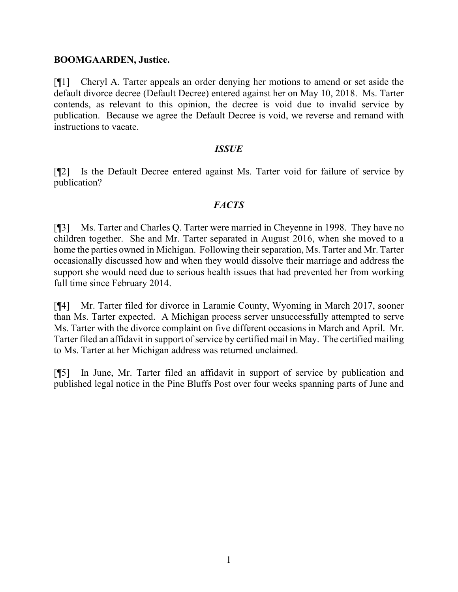### **BOOMGAARDEN, Justice.**

[¶1] Cheryl A. Tarter appeals an order denying her motions to amend or set aside the default divorce decree (Default Decree) entered against her on May 10, 2018. Ms. Tarter contends, as relevant to this opinion, the decree is void due to invalid service by publication. Because we agree the Default Decree is void, we reverse and remand with instructions to vacate.

### *ISSUE*

[¶2] Is the Default Decree entered against Ms. Tarter void for failure of service by publication?

# *FACTS*

[¶3] Ms. Tarter and Charles Q. Tarter were married in Cheyenne in 1998. They have no children together. She and Mr. Tarter separated in August 2016, when she moved to a home the parties owned in Michigan. Following their separation, Ms. Tarter and Mr. Tarter occasionally discussed how and when they would dissolve their marriage and address the support she would need due to serious health issues that had prevented her from working full time since February 2014.

[¶4] Mr. Tarter filed for divorce in Laramie County, Wyoming in March 2017, sooner than Ms. Tarter expected. A Michigan process server unsuccessfully attempted to serve Ms. Tarter with the divorce complaint on five different occasions in March and April. Mr. Tarter filed an affidavit in support of service by certified mail in May. The certified mailing to Ms. Tarter at her Michigan address was returned unclaimed.

[¶5] In June, Mr. Tarter filed an affidavit in support of service by publication and published legal notice in the Pine Bluffs Post over four weeks spanning parts of June and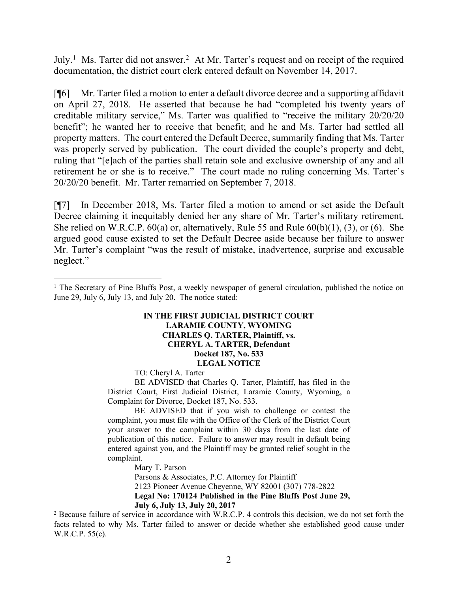July.<sup>[1](#page-2-0)</sup> Ms. Tarter did not answer.<sup>[2](#page-2-1)</sup> At Mr. Tarter's request and on receipt of the required documentation, the district court clerk entered default on November 14, 2017.

[¶6] Mr. Tarter filed a motion to enter a default divorce decree and a supporting affidavit on April 27, 2018. He asserted that because he had "completed his twenty years of creditable military service," Ms. Tarter was qualified to "receive the military 20/20/20 benefit"; he wanted her to receive that benefit; and he and Ms. Tarter had settled all property matters. The court entered the Default Decree, summarily finding that Ms. Tarter was properly served by publication. The court divided the couple's property and debt, ruling that "[e]ach of the parties shall retain sole and exclusive ownership of any and all retirement he or she is to receive." The court made no ruling concerning Ms. Tarter's 20/20/20 benefit. Mr. Tarter remarried on September 7, 2018.

[¶7] In December 2018, Ms. Tarter filed a motion to amend or set aside the Default Decree claiming it inequitably denied her any share of Mr. Tarter's military retirement. She relied on W.R.C.P. 60(a) or, alternatively, Rule 55 and Rule 60(b)(1), (3), or (6). She argued good cause existed to set the Default Decree aside because her failure to answer Mr. Tarter's complaint "was the result of mistake, inadvertence, surprise and excusable neglect."

#### **IN THE FIRST JUDICIAL DISTRICT COURT LARAMIE COUNTY, WYOMING CHARLES Q. TARTER, Plaintiff, vs. CHERYL A. TARTER, Defendant Docket 187, No. 533 LEGAL NOTICE**

TO: Cheryl A. Tarter

BE ADVISED that Charles Q. Tarter, Plaintiff, has filed in the District Court, First Judicial District, Laramie County, Wyoming, a Complaint for Divorce, Docket 187, No. 533.

BE ADVISED that if you wish to challenge or contest the complaint, you must file with the Office of the Clerk of the District Court your answer to the complaint within 30 days from the last date of publication of this notice. Failure to answer may result in default being entered against you, and the Plaintiff may be granted relief sought in the complaint.

Mary T. Parson

Parsons & Associates, P.C. Attorney for Plaintiff 2123 Pioneer Avenue Cheyenne, WY 82001 (307) 778-2822 **Legal No: 170124 Published in the Pine Bluffs Post June 29, July 6, July 13, July 20, 2017**

<span id="page-2-1"></span><sup>2</sup> Because failure of service in accordance with W.R.C.P. 4 controls this decision, we do not set forth the facts related to why Ms. Tarter failed to answer or decide whether she established good cause under W.R.C.P. 55(c).

<span id="page-2-0"></span><sup>&</sup>lt;sup>1</sup> The Secretary of Pine Bluffs Post, a weekly newspaper of general circulation, published the notice on June 29, July 6, July 13, and July 20. The notice stated: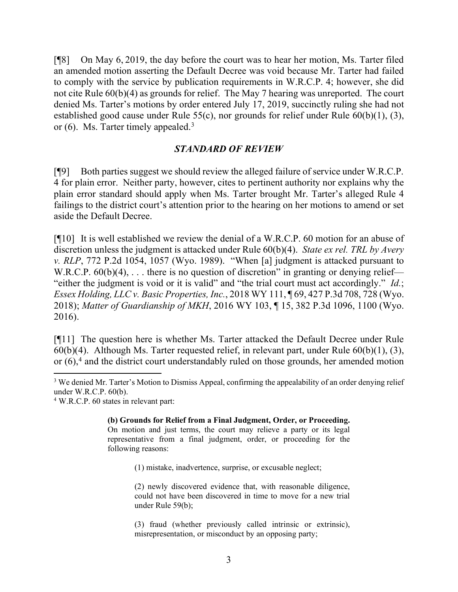[¶8] On May 6, 2019, the day before the court was to hear her motion, Ms. Tarter filed an amended motion asserting the Default Decree was void because Mr. Tarter had failed to comply with the service by publication requirements in W.R.C.P. 4; however, she did not cite Rule 60(b)(4) as grounds for relief. The May 7 hearing was unreported. The court denied Ms. Tarter's motions by order entered July 17, 2019, succinctly ruling she had not established good cause under Rule 55(c), nor grounds for relief under Rule 60(b)(1), (3), or (6). Ms. Tarter timely appealed. [3](#page-3-0)

### *STANDARD OF REVIEW*

[¶9] Both parties suggest we should review the alleged failure of service under W.R.C.P. 4 for plain error. Neither party, however, cites to pertinent authority nor explains why the plain error standard should apply when Ms. Tarter brought Mr. Tarter's alleged Rule 4 failings to the district court's attention prior to the hearing on her motions to amend or set aside the Default Decree.

[¶10] It is well established we review the denial of a W.R.C.P. 60 motion for an abuse of discretion unless the judgment is attacked under Rule 60(b)(4). *State ex rel. TRL by Avery v. RLP*, 772 P.2d 1054, 1057 (Wyo. 1989). "When [a] judgment is attacked pursuant to W.R.C.P. 60(b)(4), ... there is no question of discretion" in granting or denying relief— "either the judgment is void or it is valid" and "the trial court must act accordingly." *Id.*; *Essex Holding, LLC v. Basic Properties, Inc.*, 2018 WY 111, ¶ 69, 427 P.3d 708, 728 (Wyo. 2018); *Matter of Guardianship of MKH*, 2016 WY 103, ¶ 15, 382 P.3d 1096, 1100 (Wyo. 2016).

[¶11] The question here is whether Ms. Tarter attacked the Default Decree under Rule  $60(b)(4)$ . Although Ms. Tarter requested relief, in relevant part, under Rule  $60(b)(1)$ , (3), or (6), [4](#page-3-1) and the district court understandably ruled on those grounds, her amended motion

**(b) Grounds for Relief from a Final Judgment, Order, or Proceeding.** On motion and just terms, the court may relieve a party or its legal representative from a final judgment, order, or proceeding for the following reasons:

(1) mistake, inadvertence, surprise, or excusable neglect;

(2) newly discovered evidence that, with reasonable diligence, could not have been discovered in time to move for a new trial under Rule 59(b);

(3) fraud (whether previously called intrinsic or extrinsic), misrepresentation, or misconduct by an opposing party;

<span id="page-3-0"></span><sup>&</sup>lt;sup>3</sup> We denied Mr. Tarter's Motion to Dismiss Appeal, confirming the appealability of an order denying relief under W.R.C.P. 60(b).

<span id="page-3-1"></span><sup>4</sup> W.R.C.P. 60 states in relevant part: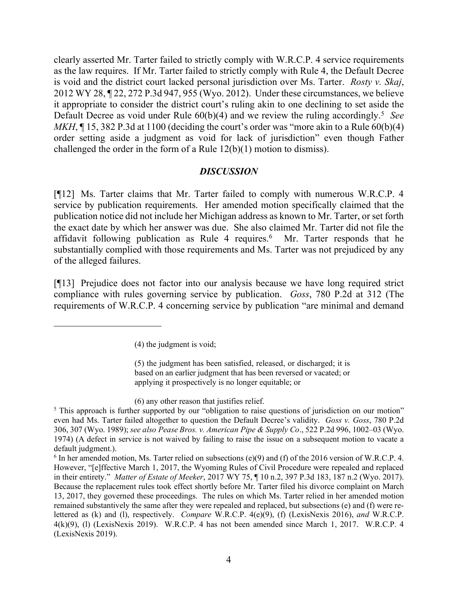clearly asserted Mr. Tarter failed to strictly comply with W.R.C.P. 4 service requirements as the law requires. If Mr. Tarter failed to strictly comply with Rule 4, the Default Decree is void and the district court lacked personal jurisdiction over Ms. Tarter. *Rosty v. Skaj*, 2012 WY 28, ¶ 22, 272 P.3d 947, 955 (Wyo. 2012). Under these circumstances, we believe it appropriate to consider the district court's ruling akin to one declining to set aside the Default Decree as void under Rule 60(b)(4) and we review the ruling accordingly. [5](#page-4-0) *See MKH*,  $\P$  15, 382 P.3d at 1100 (deciding the court's order was "more akin to a Rule 60(b)(4) order setting aside a judgment as void for lack of jurisdiction" even though Father challenged the order in the form of a Rule  $12(b)(1)$  motion to dismiss).

### *DISCUSSION*

[¶12] Ms. Tarter claims that Mr. Tarter failed to comply with numerous W.R.C.P. 4 service by publication requirements. Her amended motion specifically claimed that the publication notice did not include her Michigan address as known to Mr. Tarter, or set forth the exact date by which her answer was due. She also claimed Mr. Tarter did not file the affidavit following publication as Rule 4 requires. [6](#page-4-1) Mr. Tarter responds that he substantially complied with those requirements and Ms. Tarter was not prejudiced by any of the alleged failures.

[¶13] Prejudice does not factor into our analysis because we have long required strict compliance with rules governing service by publication. *Goss*, 780 P.2d at 312 (The requirements of W.R.C.P. 4 concerning service by publication "are minimal and demand

(5) the judgment has been satisfied, released, or discharged; it is based on an earlier judgment that has been reversed or vacated; or applying it prospectively is no longer equitable; or

(6) any other reason that justifies relief.

<sup>(4)</sup> the judgment is void;

<span id="page-4-0"></span><sup>&</sup>lt;sup>5</sup> This approach is further supported by our "obligation to raise questions of jurisdiction on our motion" even had Ms. Tarter failed altogether to question the Default Decree's validity. *Goss v. Goss*, 780 P.2d 306, 307 (Wyo. 1989); *see also Pease Bros. v. American Pipe & Supply Co*., 522 P.2d 996, 1002–03 (Wyo. 1974) (A defect in service is not waived by failing to raise the issue on a subsequent motion to vacate a default judgment.).

<span id="page-4-1"></span> $6$  In her amended motion, Ms. Tarter relied on subsections (e)(9) and (f) of the 2016 version of W.R.C.P. 4. However, "[e]ffective March 1, 2017, the Wyoming Rules of Civil Procedure were repealed and replaced in their entirety." *Matter of Estate of Meeker*, 2017 WY 75, ¶ 10 n.2, 397 P.3d 183, 187 n.2 (Wyo. 2017). Because the replacement rules took effect shortly before Mr. Tarter filed his divorce complaint on March 13, 2017, they governed these proceedings. The rules on which Ms. Tarter relied in her amended motion remained substantively the same after they were repealed and replaced, but subsections (e) and (f) were relettered as (k) and (l), respectively. *Compare* W.R.C.P. 4(e)(9), (f) (LexisNexis 2016), *and* W.R.C.P. 4(k)(9), (l) (LexisNexis 2019). W.R.C.P. 4 has not been amended since March 1, 2017. W.R.C.P. 4 (LexisNexis 2019).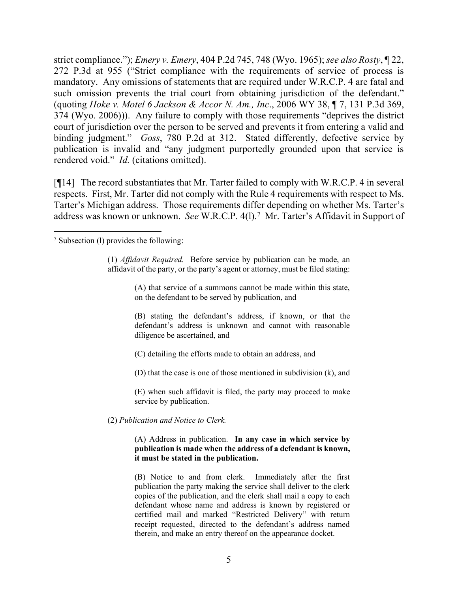strict compliance."); *Emery v. Emery*, 404 P.2d 745, 748 (Wyo. 1965); *see also Rosty*, ¶ 22, 272 P.3d at 955 ("Strict compliance with the requirements of service of process is mandatory. Any omissions of statements that are required under W.R.C.P. 4 are fatal and such omission prevents the trial court from obtaining jurisdiction of the defendant." (quoting *Hoke v. Motel 6 Jackson & Accor N. Am., Inc*., 2006 WY 38, ¶ 7, 131 P.3d 369, 374 (Wyo. 2006))). Any failure to comply with those requirements "deprives the district court of jurisdiction over the person to be served and prevents it from entering a valid and binding judgment." *Goss*, 780 P.2d at 312. Stated differently, defective service by publication is invalid and "any judgment purportedly grounded upon that service is rendered void." *Id.* (citations omitted).

[¶14] The record substantiates that Mr. Tarter failed to comply with W.R.C.P. 4 in several respects. First, Mr. Tarter did not comply with the Rule 4 requirements with respect to Ms. Tarter's Michigan address. Those requirements differ depending on whether Ms. Tarter's address was known or unknown. *See* W.R.C.P. 4(l).[7](#page-5-0) Mr. Tarter's Affidavit in Support of

(1) *Affidavit Required.* Before service by publication can be made, an affidavit of the party, or the party's agent or attorney, must be filed stating:

> (A) that service of a summons cannot be made within this state, on the defendant to be served by publication, and

> (B) stating the defendant's address, if known, or that the defendant's address is unknown and cannot with reasonable diligence be ascertained, and

(C) detailing the efforts made to obtain an address, and

(D) that the case is one of those mentioned in subdivision (k), and

(E) when such affidavit is filed, the party may proceed to make service by publication.

(2) *Publication and Notice to Clerk.*

#### (A) Address in publication. **In any case in which service by publication is made when the address of a defendant is known, it must be stated in the publication.**

(B) Notice to and from clerk. Immediately after the first publication the party making the service shall deliver to the clerk copies of the publication, and the clerk shall mail a copy to each defendant whose name and address is known by registered or certified mail and marked "Restricted Delivery" with return receipt requested, directed to the defendant's address named therein, and make an entry thereof on the appearance docket.

<span id="page-5-0"></span><sup>7</sup> Subsection (l) provides the following: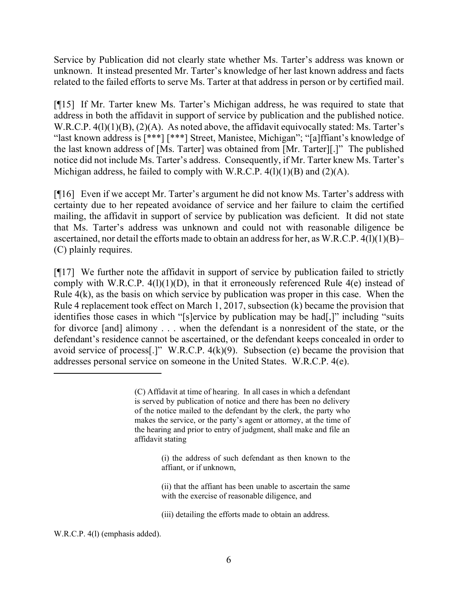Service by Publication did not clearly state whether Ms. Tarter's address was known or unknown. It instead presented Mr. Tarter's knowledge of her last known address and facts related to the failed efforts to serve Ms. Tarter at that address in person or by certified mail.

[¶15] If Mr. Tarter knew Ms. Tarter's Michigan address, he was required to state that address in both the affidavit in support of service by publication and the published notice. W.R.C.P. 4(1)(1)(B), (2)(A). As noted above, the affidavit equivocally stated: Ms. Tarter's "last known address is [\*\*\*] [\*\*\*] Street, Manistee, Michigan"; "[a]ffiant's knowledge of the last known address of [Ms. Tarter] was obtained from [Mr. Tarter][.]" The published notice did not include Ms. Tarter's address. Consequently, if Mr. Tarter knew Ms. Tarter's Michigan address, he failed to comply with W.R.C.P.  $4(1)(1)(B)$  and  $(2)(A)$ .

[¶16] Even if we accept Mr. Tarter's argument he did not know Ms. Tarter's address with certainty due to her repeated avoidance of service and her failure to claim the certified mailing, the affidavit in support of service by publication was deficient. It did not state that Ms. Tarter's address was unknown and could not with reasonable diligence be ascertained, nor detail the efforts made to obtain an address for her, as W.R.C.P. 4(l)(1)(B)– (C) plainly requires.

[¶17] We further note the affidavit in support of service by publication failed to strictly comply with W.R.C.P.  $4(1)(1)(D)$ , in that it erroneously referenced Rule  $4(e)$  instead of Rule  $4(k)$ , as the basis on which service by publication was proper in this case. When the Rule 4 replacement took effect on March 1, 2017, subsection (k) became the provision that identifies those cases in which "[s]ervice by publication may be had[,]" including "suits for divorce [and] alimony . . . when the defendant is a nonresident of the state, or the defendant's residence cannot be ascertained, or the defendant keeps concealed in order to avoid service of process[.]" W.R.C.P.  $4(k)(9)$ . Subsection (e) became the provision that addresses personal service on someone in the United States. W.R.C.P. 4(e).

(ii) that the affiant has been unable to ascertain the same with the exercise of reasonable diligence, and

(iii) detailing the efforts made to obtain an address.

<sup>(</sup>C) Affidavit at time of hearing. In all cases in which a defendant is served by publication of notice and there has been no delivery of the notice mailed to the defendant by the clerk, the party who makes the service, or the party's agent or attorney, at the time of the hearing and prior to entry of judgment, shall make and file an affidavit stating

<sup>(</sup>i) the address of such defendant as then known to the affiant, or if unknown,